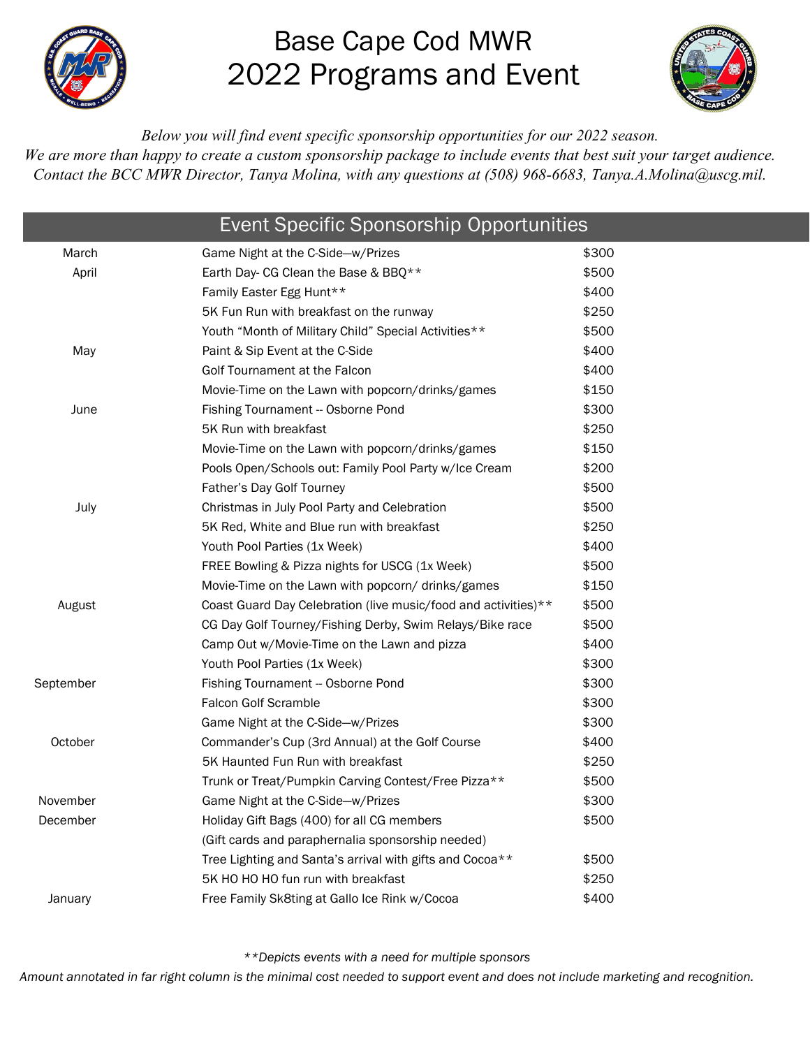

# Base Cape Cod MWR 2022 Programs and Event



*Below you will find event specific sponsorship opportunities for our 2022 season.*

We are more than happy to create a custom sponsorship package to *include events that best suit your target audience*. *Contact the BCC MWR Director, Tanya Molina, with any questions at (508) 968-6683, [Tanya.A.Molina@uscg.mil.](mailto:Tanya.A.Molina@uscg.mil)*

| <b>Event Specific Sponsorship Opportunities</b> |                                                                |       |
|-------------------------------------------------|----------------------------------------------------------------|-------|
| March                                           | Game Night at the C-Side-w/Prizes                              | \$300 |
| April                                           | Earth Day- CG Clean the Base & BBQ**                           | \$500 |
|                                                 | Family Easter Egg Hunt**                                       | \$400 |
|                                                 | 5K Fun Run with breakfast on the runway                        | \$250 |
|                                                 | Youth "Month of Military Child" Special Activities**           | \$500 |
| May                                             | Paint & Sip Event at the C-Side                                | \$400 |
|                                                 | Golf Tournament at the Falcon                                  | \$400 |
|                                                 | Movie-Time on the Lawn with popcorn/drinks/games               | \$150 |
| June                                            | Fishing Tournament - Osborne Pond                              | \$300 |
|                                                 | 5K Run with breakfast                                          | \$250 |
|                                                 | Movie-Time on the Lawn with popcorn/drinks/games               | \$150 |
|                                                 | Pools Open/Schools out: Family Pool Party w/Ice Cream          | \$200 |
|                                                 | Father's Day Golf Tourney                                      | \$500 |
| July                                            | Christmas in July Pool Party and Celebration                   | \$500 |
|                                                 | 5K Red, White and Blue run with breakfast                      | \$250 |
|                                                 | Youth Pool Parties (1x Week)                                   | \$400 |
|                                                 | FREE Bowling & Pizza nights for USCG (1x Week)                 | \$500 |
|                                                 | Movie-Time on the Lawn with popcorn/ drinks/games              | \$150 |
| August                                          | Coast Guard Day Celebration (live music/food and activities)** | \$500 |
|                                                 | CG Day Golf Tourney/Fishing Derby, Swim Relays/Bike race       | \$500 |
|                                                 | Camp Out w/Movie-Time on the Lawn and pizza                    | \$400 |
|                                                 | Youth Pool Parties (1x Week)                                   | \$300 |
| September                                       | Fishing Tournament -- Osborne Pond                             | \$300 |
|                                                 | <b>Falcon Golf Scramble</b>                                    | \$300 |
|                                                 | Game Night at the C-Side-w/Prizes                              | \$300 |
| October                                         | Commander's Cup (3rd Annual) at the Golf Course                | \$400 |
|                                                 | 5K Haunted Fun Run with breakfast                              | \$250 |
|                                                 | Trunk or Treat/Pumpkin Carving Contest/Free Pizza**            | \$500 |
| November                                        | Game Night at the C-Side-w/Prizes                              | \$300 |
| December                                        | Holiday Gift Bags (400) for all CG members                     | \$500 |
|                                                 | (Gift cards and paraphernalia sponsorship needed)              |       |
|                                                 | Tree Lighting and Santa's arrival with gifts and Cocoa**       | \$500 |
|                                                 | 5K HO HO HO fun run with breakfast                             | \$250 |
| January                                         | Free Family Sk8ting at Gallo Ice Rink w/Cocoa                  | \$400 |
|                                                 |                                                                |       |

*\*\*Depicts events with a need for multiple sponsors*

*Amount annotated in far right column is the minimal cost needed to support event and does not include marketing and recognition.*